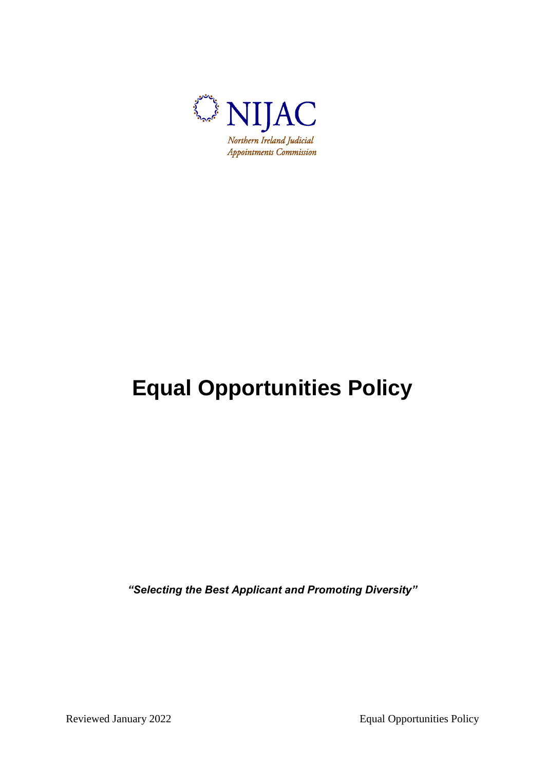

# **Equal Opportunities Policy**

*"Selecting the Best Applicant and Promoting Diversity"*

Reviewed January 2022 Equal Opportunities Policy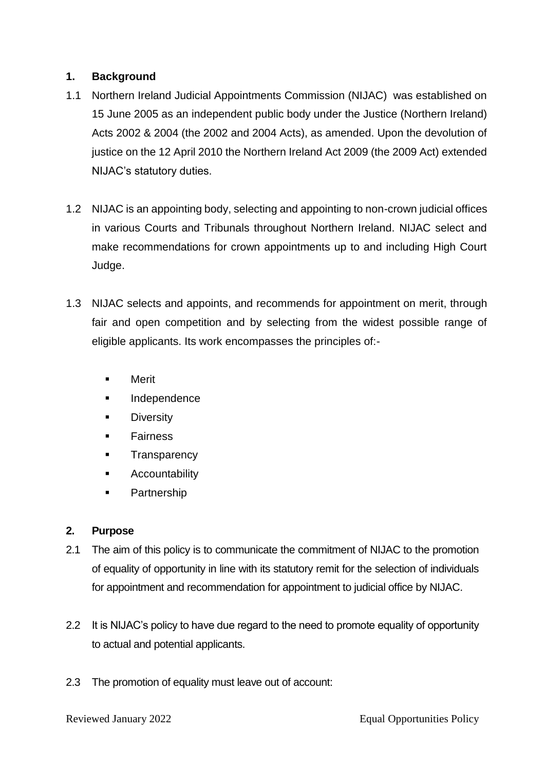## **1. Background**

- 1.1 Northern Ireland Judicial Appointments Commission (NIJAC) was established on 15 June 2005 as an independent public body under the Justice (Northern Ireland) Acts 2002 & 2004 (the 2002 and 2004 Acts), as amended. Upon the devolution of justice on the 12 April 2010 the Northern Ireland Act 2009 (the 2009 Act) extended NIJAC's statutory duties.
- 1.2 NIJAC is an appointing body, selecting and appointing to non-crown judicial offices in various Courts and Tribunals throughout Northern Ireland. NIJAC select and make recommendations for crown appointments up to and including High Court Judge.
- 1.3 NIJAC selects and appoints, and recommends for appointment on merit, through fair and open competition and by selecting from the widest possible range of eligible applicants. Its work encompasses the principles of:-
	- **Nerit**
	- Independence
	- **Diversity**
	- **Fairness**
	- **Transparency**
	- **Accountability**
	- **•** Partnership

## **2. Purpose**

- 2.1 The aim of this policy is to communicate the commitment of NIJAC to the promotion of equality of opportunity in line with its statutory remit for the selection of individuals for appointment and recommendation for appointment to judicial office by NIJAC.
- 2.2 It is NIJAC's policy to have due regard to the need to promote equality of opportunity to actual and potential applicants.
- 2.3 The promotion of equality must leave out of account: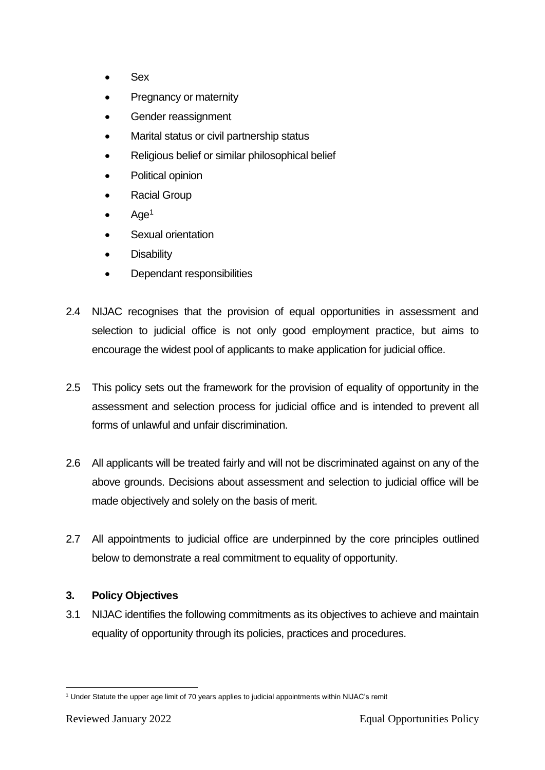- Sex
- Pregnancy or maternity
- Gender reassignment
- Marital status or civil partnership status
- Religious belief or similar philosophical belief
- Political opinion
- Racial Group
- Age<sup>1</sup>
- Sexual orientation
- **Disability**
- Dependant responsibilities
- 2.4 NIJAC recognises that the provision of equal opportunities in assessment and selection to judicial office is not only good employment practice, but aims to encourage the widest pool of applicants to make application for judicial office.
- 2.5 This policy sets out the framework for the provision of equality of opportunity in the assessment and selection process for judicial office and is intended to prevent all forms of unlawful and unfair discrimination.
- 2.6 All applicants will be treated fairly and will not be discriminated against on any of the above grounds. Decisions about assessment and selection to judicial office will be made objectively and solely on the basis of merit.
- 2.7 All appointments to judicial office are underpinned by the core principles outlined below to demonstrate a real commitment to equality of opportunity.

## **3. Policy Objectives**

3.1 NIJAC identifies the following commitments as its objectives to achieve and maintain equality of opportunity through its policies, practices and procedures.

<sup>1</sup> <sup>1</sup> Under Statute the upper age limit of 70 years applies to judicial appointments within NIJAC's remit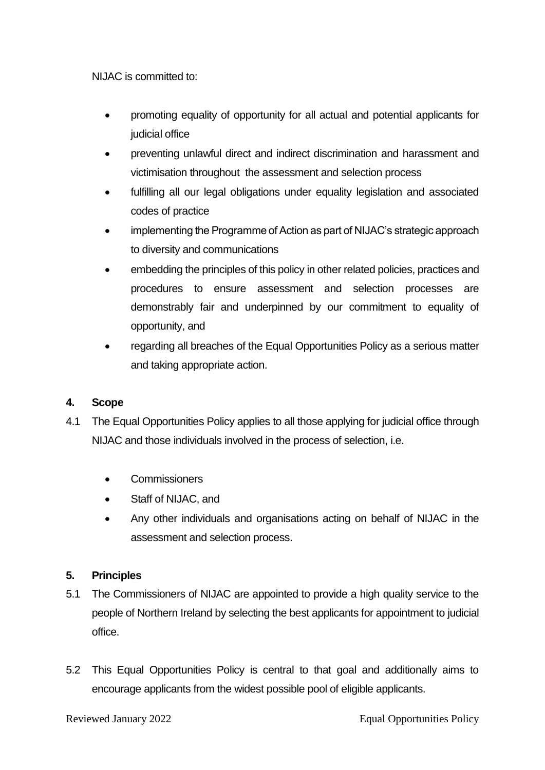NIJAC is committed to:

- promoting equality of opportunity for all actual and potential applicants for judicial office
- preventing unlawful direct and indirect discrimination and harassment and victimisation throughout the assessment and selection process
- fulfilling all our legal obligations under equality legislation and associated codes of practice
- implementing the Programme of Action as part of NIJAC's strategic approach to diversity and communications
- embedding the principles of this policy in other related policies, practices and procedures to ensure assessment and selection processes are demonstrably fair and underpinned by our commitment to equality of opportunity, and
- regarding all breaches of the Equal Opportunities Policy as a serious matter and taking appropriate action.

## **4. Scope**

- 4.1 The Equal Opportunities Policy applies to all those applying for judicial office through NIJAC and those individuals involved in the process of selection, i.e.
	- Commissioners
	- Staff of NIJAC, and
	- Any other individuals and organisations acting on behalf of NIJAC in the assessment and selection process.

## **5. Principles**

- 5.1 The Commissioners of NIJAC are appointed to provide a high quality service to the people of Northern Ireland by selecting the best applicants for appointment to judicial office.
- 5.2 This Equal Opportunities Policy is central to that goal and additionally aims to encourage applicants from the widest possible pool of eligible applicants.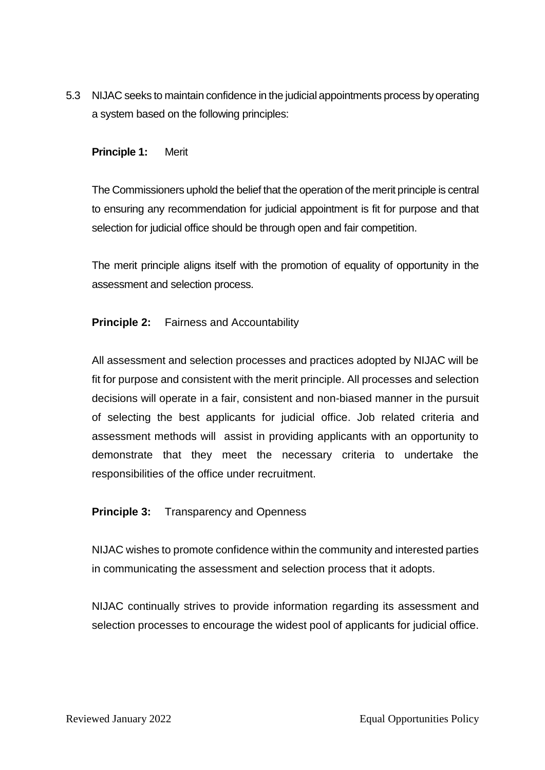5.3 NIJAC seeks to maintain confidence in the judicial appointments process by operating a system based on the following principles:

#### **Principle 1:** Merit

The Commissioners uphold the belief that the operation of the merit principle is central to ensuring any recommendation for judicial appointment is fit for purpose and that selection for judicial office should be through open and fair competition.

The merit principle aligns itself with the promotion of equality of opportunity in the assessment and selection process.

## **Principle 2:** Fairness and Accountability

All assessment and selection processes and practices adopted by NIJAC will be fit for purpose and consistent with the merit principle. All processes and selection decisions will operate in a fair, consistent and non-biased manner in the pursuit of selecting the best applicants for judicial office. Job related criteria and assessment methods will assist in providing applicants with an opportunity to demonstrate that they meet the necessary criteria to undertake the responsibilities of the office under recruitment.

## **Principle 3:** Transparency and Openness

NIJAC wishes to promote confidence within the community and interested parties in communicating the assessment and selection process that it adopts.

NIJAC continually strives to provide information regarding its assessment and selection processes to encourage the widest pool of applicants for judicial office.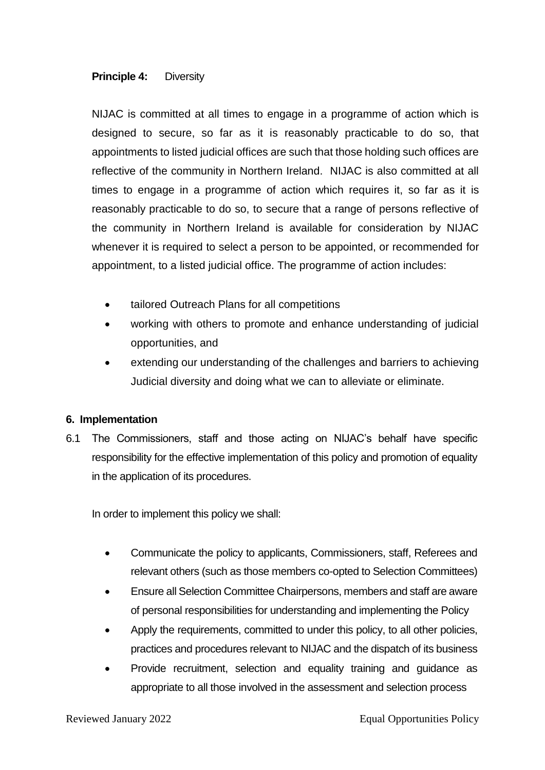#### **Principle 4:** Diversity

NIJAC is committed at all times to engage in a programme of action which is designed to secure, so far as it is reasonably practicable to do so, that appointments to listed judicial offices are such that those holding such offices are reflective of the community in Northern Ireland. NIJAC is also committed at all times to engage in a programme of action which requires it, so far as it is reasonably practicable to do so, to secure that a range of persons reflective of the community in Northern Ireland is available for consideration by NIJAC whenever it is required to select a person to be appointed, or recommended for appointment, to a listed judicial office. The programme of action includes:

- tailored Outreach Plans for all competitions
- working with others to promote and enhance understanding of judicial opportunities, and
- extending our understanding of the challenges and barriers to achieving Judicial diversity and doing what we can to alleviate or eliminate.

## **6. Implementation**

6.1 The Commissioners, staff and those acting on NIJAC's behalf have specific responsibility for the effective implementation of this policy and promotion of equality in the application of its procedures.

In order to implement this policy we shall:

- Communicate the policy to applicants, Commissioners, staff, Referees and relevant others (such as those members co-opted to Selection Committees)
- Ensure all Selection Committee Chairpersons, members and staff are aware of personal responsibilities for understanding and implementing the Policy
- Apply the requirements, committed to under this policy, to all other policies, practices and procedures relevant to NIJAC and the dispatch of its business
- Provide recruitment, selection and equality training and guidance as appropriate to all those involved in the assessment and selection process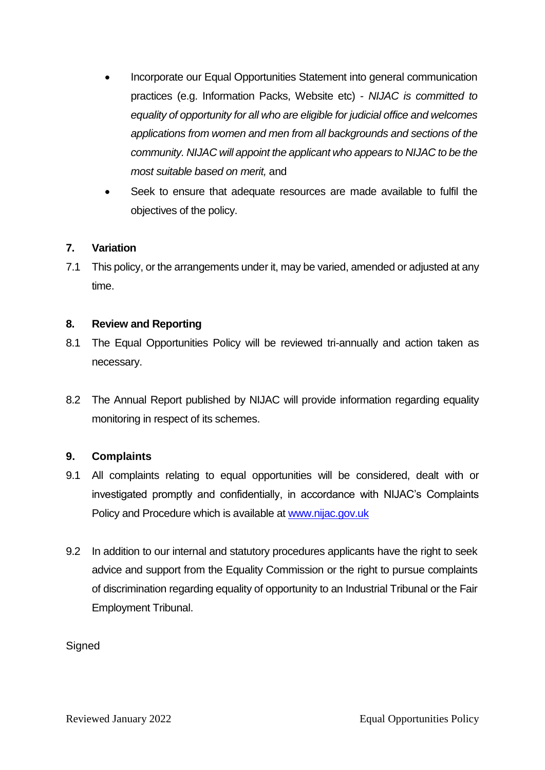- Incorporate our Equal Opportunities Statement into general communication practices (e.g. Information Packs, Website etc) - *NIJAC is committed to equality of opportunity for all who are eligible for judicial office and welcomes applications from women and men from all backgrounds and sections of the community. NIJAC will appoint the applicant who appears to NIJAC to be the most suitable based on merit,* and
- Seek to ensure that adequate resources are made available to fulfil the objectives of the policy.

#### **7. Variation**

7.1 This policy, or the arrangements under it, may be varied, amended or adjusted at any time.

#### **8. Review and Reporting**

- 8.1 The Equal Opportunities Policy will be reviewed tri-annually and action taken as necessary.
- 8.2 The Annual Report published by NIJAC will provide information regarding equality monitoring in respect of its schemes.

## **9. Complaints**

- 9.1 All complaints relating to equal opportunities will be considered, dealt with or investigated promptly and confidentially, in accordance with NIJAC's Complaints Policy and Procedure which is available at [www.nijac.gov.uk](http://www.nijac.gov.uk/)
- 9.2 In addition to our internal and statutory procedures applicants have the right to seek advice and support from the Equality Commission or the right to pursue complaints of discrimination regarding equality of opportunity to an Industrial Tribunal or the Fair Employment Tribunal.

**Signed**